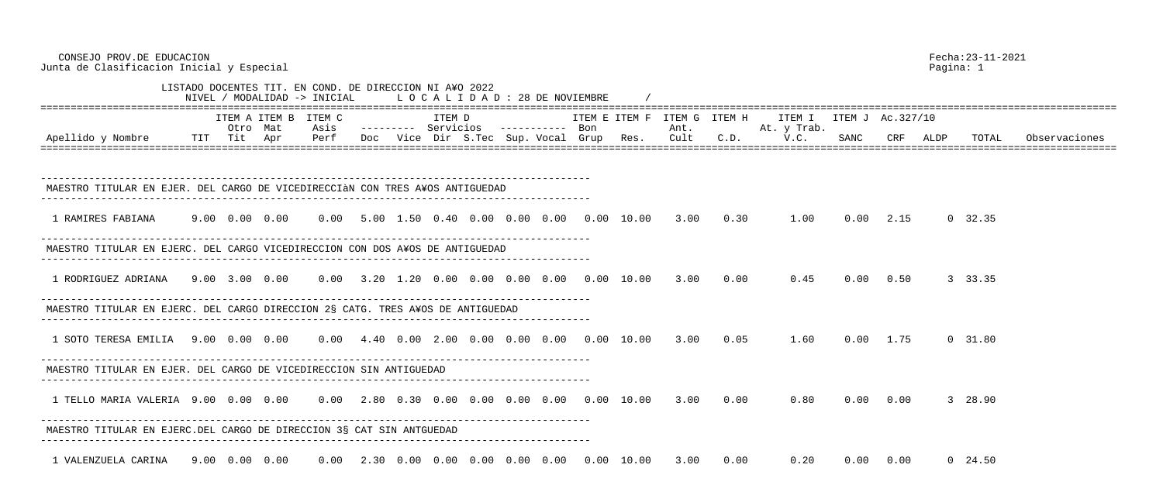CONSEJO PROV.DE EDUCACION Fecha:23-11-2021 Junta de Clasificacion Inicial y Especial

 LISTADO DOCENTES TIT. EN COND. DE DIRECCION NI A¥O 2022 NIVEL / MODALIDAD -> INICIAL L O C A L I D A D : 28 DE NOV ================================================================================================================================================================================== ITEM A ITEM B ITEM C ITEM D ITEM E ITEM F ITEM G ITEM H ITEM I ITEM J Ac.327/10 Otro Mat Asis --------- Servicios ----------- Bon Ant. At. y Trab. Apellido y Nombre TIT Tit Apr Perf Doc Vice Dir S.Tec Sup. Vocal Grup Res. Cult C.D. V.C. SANC CRF ALDP TOTAL Observaciones ================================================================================================================================================================================== ------------------------------------------------------------------------------------------- MAESTRO TITULAR EN EJER. DEL CARGO DE VICEDIRECCIàN CON TRES A¥OS ANTIGUEDAD ------------------------------------------------------------------------------------------- 1 RAMIRES FABIANA 9.00 0.00 0.00 0.00 5.00 1.50 0.40 0.00 0.00 0.00 0.00 10.00 3.00 0.30 1.00 0.00 2.15 0 32.35 ------------------------------------------------------------------------------------------- MAESTRO TITULAR EN EJERC. DEL CARGO VICEDIRECCION CON DOS A¥OS DE ANTIGUEDAD ------------------------------------------------------------------------------------------- 1 RODRIGUEZ ADRIANA 9.00 3.00 0.00 0.00 3.20 1.20 0.00 0.00 0.00 0.00 0.00 10.00 3.00 0.00 0.45 0.00 0.50 3 33.35 MAESTRO TITULAR EN EJERC. DEL CARGO DIRECCION 2§ CATG. TRES A¥OS DE ANTIGUEDAD ------------------------------------------------------------------------------------------- 1 SOTO TERESA EMILIA 9.00 0.00 0.00 0.00 4.40 0.00 2.00 0.00 0.00 0.00 0.00 10.00 3.00 0.05 1.60 0.00 1.75 0 31.80 ------------------------------------------------------------------------------------------- MAESTRO TITULAR EN EJER. DEL CARGO DE VICEDIRECCION SIN ANTIGUEDAD ------------------------------------------------------------------------------------------- 1 TELLO MARIA VALERIA 9.00 0.00 0.00 0.00 2.80 0.30 0.00 0.00 0.00 0.00 0.00 10.00 3.00 0.00 0.80 0.00 0.00 3 28.90 ------------------------------------------------------------------------------------------- MAESTRO TITULAR EN EJERC.DEL CARGO DE DIRECCION 3§ CAT SIN ANTGUEDAD ------------------------------------------------------------------------------------------- 1 VALENZUELA CARINA 9.00 0.00 0.00 0.00 2.30 0.00 0.00 0.00 0.00 0.00 0.00 10.00 3.00 0.00 0.20 0.00 0.00 0 24.50

| /IEMBRE              |            |                                          |        |                                |                            |                          |         |         |               |
|----------------------|------------|------------------------------------------|--------|--------------------------------|----------------------------|--------------------------|---------|---------|---------------|
| ITEM E ITEM F<br>Bon |            | ITEM G<br>Ant.                           | ITEM H | At. y Trab.                    |                            | ITEM I ITEM J Ac. 327/10 |         |         |               |
| Grup                 | Res. Cult  |                                          |        | C.D. V.C. SANC CRF             |                            |                          | ALDP    | TOTAL   | Observaciones |
|                      |            |                                          |        |                                |                            |                          |         |         |               |
|                      |            |                                          |        |                                |                            |                          |         |         |               |
|                      |            |                                          |        |                                |                            |                          |         |         |               |
| 0.00                 | 10.00      | 3.00 0.30                                |        |                                | 1.00  0.00  2.15  0  32.35 |                          |         |         |               |
|                      |            |                                          |        |                                |                            |                          |         |         |               |
|                      |            |                                          |        |                                |                            |                          |         |         |               |
|                      |            |                                          |        |                                |                            |                          |         |         |               |
|                      | 0.00 10.00 | 3.00 0.00                                |        | $0.45$ $0.00$ $0.50$ $3.33.35$ |                            |                          |         |         |               |
|                      |            |                                          |        |                                |                            |                          |         |         |               |
|                      |            |                                          |        |                                |                            |                          |         |         |               |
|                      | 0.00 10.00 | 3.00 0.05                                |        |                                | $1.60$ $0.00$ $1.75$       |                          | 0 31.80 |         |               |
|                      |            |                                          |        |                                |                            |                          |         |         |               |
|                      |            |                                          |        |                                |                            |                          |         |         |               |
|                      |            |                                          |        |                                |                            |                          |         |         |               |
|                      |            | $0.00 \quad 10.00 \quad 3.00 \quad 0.00$ |        | 0.80                           | 0.00 0.00                  |                          |         | 3 28.90 |               |
|                      |            |                                          |        |                                |                            |                          |         |         |               |
|                      |            |                                          |        |                                |                            |                          |         |         |               |
| 0.00                 | 10.00      | 3.00                                     | 0.00   | 0.20                           | 0.00                       | 0.00                     |         | 0 24.50 |               |
|                      |            |                                          |        |                                |                            |                          |         |         |               |